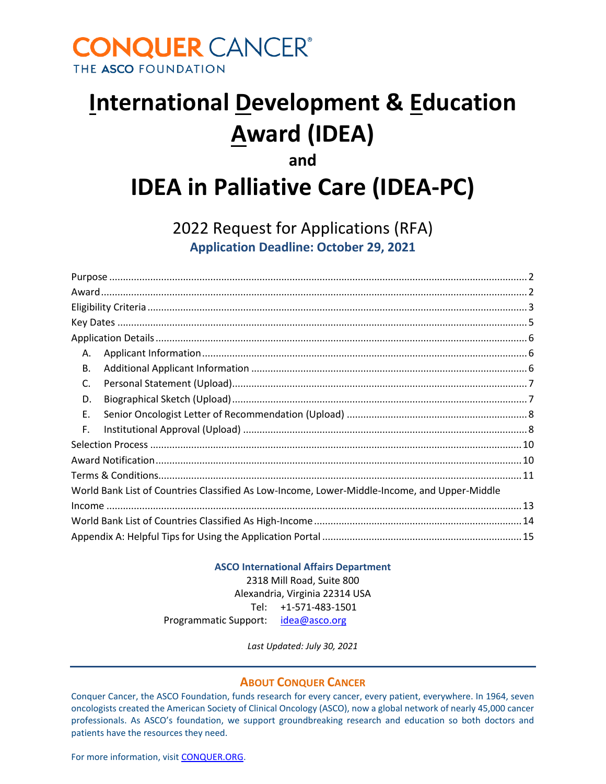# **CONQUER CANCER®** THE ASCO FOUNDATION

# **International Development & Education Award (IDEA)**

# **and IDEA in Palliative Care (IDEA-PC)**

2022 Request for Applications (RFA)

**Application Deadline: October 29, 2021**

| А.                                                                                           |
|----------------------------------------------------------------------------------------------|
| Β.                                                                                           |
| C.                                                                                           |
| D.                                                                                           |
| Ε.                                                                                           |
| F.                                                                                           |
|                                                                                              |
|                                                                                              |
|                                                                                              |
| World Bank List of Countries Classified As Low-Income, Lower-Middle-Income, and Upper-Middle |
|                                                                                              |
|                                                                                              |
|                                                                                              |

#### **ASCO International Affairs Department**

2318 Mill Road, Suite 800 Alexandria, Virginia 22314 USA Tel: +1-571-483-1501 Programmatic Support: [idea@asco.org](mailto:idea@asco.org)

*Last Updated: July 30, 2021*

#### **ABOUT CONQUER CANCER**

Conquer Cancer, the ASCO Foundation, funds research for every cancer, every patient, everywhere. In 1964, seven oncologists created the American Society of Clinical Oncology (ASCO), now a global network of nearly 45,000 cancer professionals. As ASCO's foundation, we support groundbreaking research and education so both doctors and patients have the resources they need.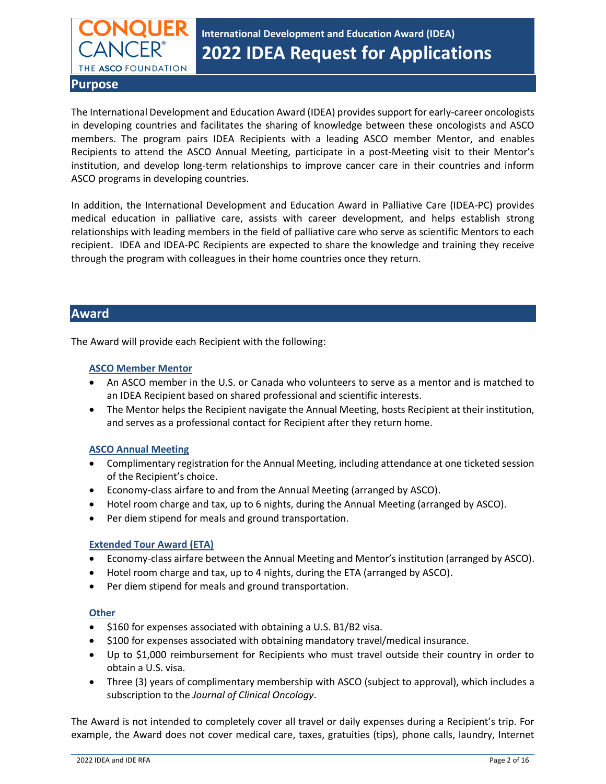

# **International Development and Education Award (IDEA) 2022 IDEA Request for Applications**

<span id="page-1-0"></span>**Purpose** 

The International Development and Education Award (IDEA) provides support for early-career oncologists in developing countries and facilitates the sharing of knowledge between these oncologists and ASCO members. The program pairs IDEA Recipients with a leading ASCO member Mentor, and enables Recipients to attend the ASCO Annual Meeting, participate in a post-Meeting visit to their Mentor's institution, and develop long-term relationships to improve cancer care in their countries and inform ASCO programs in developing countries.

In addition, the International Development and Education Award in Palliative Care (IDEA-PC) provides medical education in palliative care, assists with career development, and helps establish strong relationships with leading members in the field of palliative care who serve as scientific Mentors to each recipient. IDEA and IDEA-PC Recipients are expected to share the knowledge and training they receive through the program with colleagues in their home countries once they return.

#### <span id="page-1-1"></span>**Award**

The Award will provide each Recipient with the following:

#### **ASCO Member Mentor**

- An ASCO member in the U.S. or Canada who volunteers to serve as a mentor and is matched to an IDEA Recipient based on shared professional and scientific interests.
- The Mentor helps the Recipient navigate the Annual Meeting, hosts Recipient at their institution, and serves as a professional contact for Recipient after they return home.

#### **ASCO Annual Meeting**

- Complimentary registration for the Annual Meeting, including attendance at one ticketed session of the Recipient's choice.
- Economy-class airfare to and from the Annual Meeting (arranged by ASCO).
- Hotel room charge and tax, up to 6 nights, during the Annual Meeting (arranged by ASCO).
- Per diem stipend for meals and ground transportation.

#### **Extended Tour Award (ETA)**

- Economy-class airfare between the Annual Meeting and Mentor's institution (arranged by ASCO).
- Hotel room charge and tax, up to 4 nights, during the ETA (arranged by ASCO).
- Per diem stipend for meals and ground transportation.

#### **Other**

- \$160 for expenses associated with obtaining a U.S. B1/B2 visa.
- \$100 for expenses associated with obtaining mandatory travel/medical insurance.
- Up to \$1,000 reimbursement for Recipients who must travel outside their country in order to obtain a U.S. visa.
- Three (3) years of complimentary membership with ASCO (subject to approval), which includes a subscription to the *Journal of Clinical Oncology*.

The Award is not intended to completely cover all travel or daily expenses during a Recipient's trip. For example, the Award does not cover medical care, taxes, gratuities (tips), phone calls, laundry, Internet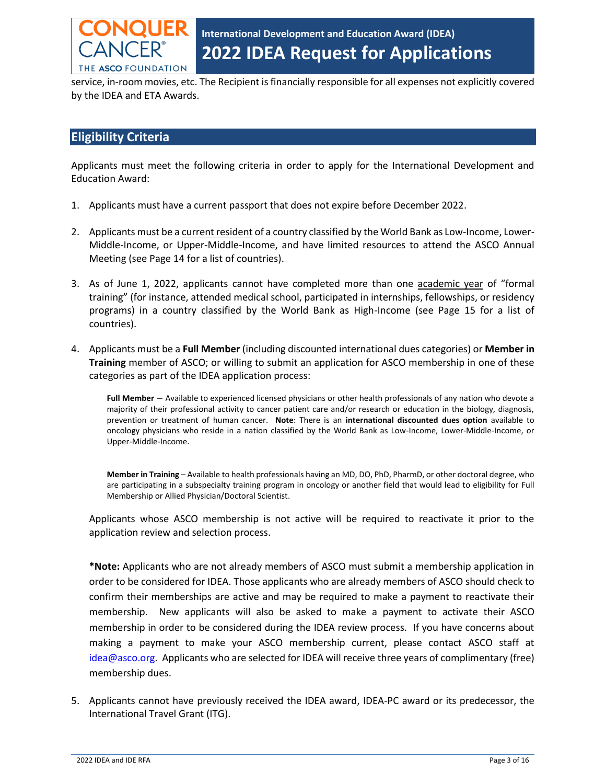

service, in-room movies, etc. The Recipient is financially responsible for all expenses not explicitly covered by the IDEA and ETA Awards.

#### **Eligibility Criteria**

Applicants must meet the following criteria in order to apply for the International Development and Education Award:

- 1. Applicants must have a current passport that does not expire before December 2022.
- 2. Applicants must be a current resident of a country classified by the World Bank as Low-Income, Lower-Middle-Income, or Upper-Middle-Income, and have limited resources to attend the ASCO Annual Meeting (see Page 14 for a list of countries).
- 3. As of June 1, 2022, applicants cannot have completed more than one academic year of "formal training" (for instance, attended medical school, participated in internships, fellowships, or residency programs) in a country classified by the World Bank as High-Income (see Page 15 for a list of countries).
- 4. Applicants must be a **Full Member** (including discounted international dues categories) or **Member in Training** member of ASCO; or willing to submit an application for ASCO membership in one of these categories as part of the IDEA application process:

**Full Member** – Available to experienced licensed physicians or other health professionals of any nation who devote a majority of their professional activity to cancer patient care and/or research or education in the biology, diagnosis, prevention or treatment of human cancer. **Note**: There is an **international discounted dues option** available to oncology physicians who reside in a nation classified by the World Bank as Low-Income, Lower-Middle-Income, or Upper-Middle-Income.

**Member in Training** – Available to health professionals having an MD, DO, PhD, PharmD, or other doctoral degree, who are participating in a subspecialty training program in oncology or another field that would lead to eligibility for Full Membership or Allied Physician/Doctoral Scientist.

Applicants whose ASCO membership is not active will be required to reactivate it prior to the application review and selection process.

**\*Note:** Applicants who are not already members of ASCO must submit a membership application in order to be considered for IDEA. Those applicants who are already members of ASCO should check to confirm their memberships are active and may be required to make a payment to reactivate their membership. New applicants will also be asked to make a payment to activate their ASCO membership in order to be considered during the IDEA review process. If you have concerns about making a payment to make your ASCO membership current, please contact ASCO staff at [idea@asco.org.](mailto:idea@asco.org) Applicants who are selected for IDEA will receive three years of complimentary (free) membership dues.

5. Applicants cannot have previously received the IDEA award, IDEA-PC award or its predecessor, the International Travel Grant (ITG).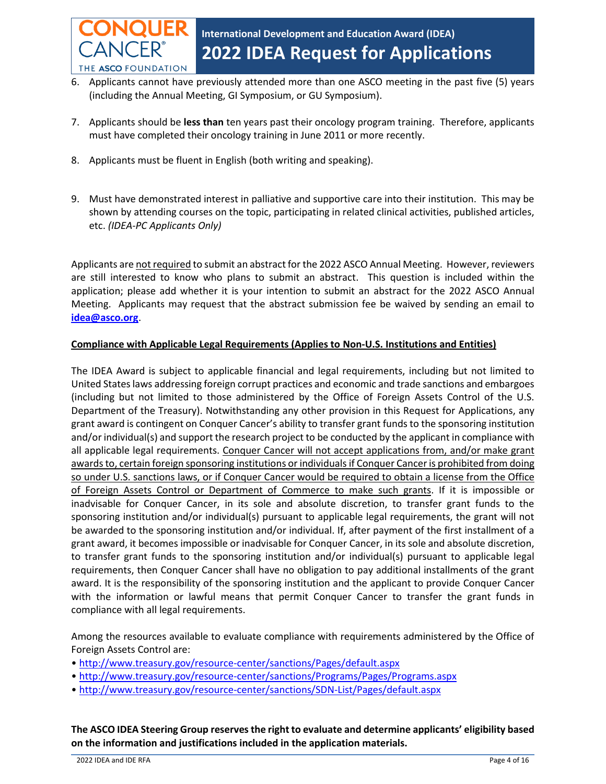

- 6. Applicants cannot have previously attended more than one ASCO meeting in the past five (5) years (including the Annual Meeting, GI Symposium, or GU Symposium).
- 7. Applicants should be **less than** ten years past their oncology program training. Therefore, applicants must have completed their oncology training in June 2011 or more recently.
- 8. Applicants must be fluent in English (both writing and speaking).
- 9. Must have demonstrated interest in palliative and supportive care into their institution. This may be shown by attending courses on the topic, participating in related clinical activities, published articles, etc. *(IDEA-PC Applicants Only)*

Applicants are not required to submit an abstract for the 2022 ASCO Annual Meeting. However, reviewers are still interested to know who plans to submit an abstract. This question is included within the application; please add whether it is your intention to submit an abstract for the 2022 ASCO Annual Meeting. Applicants may request that the abstract submission fee be waived by sending an email to **[idea@asco.org](mailto:idea@asco.org)**.

#### **Compliance with Applicable Legal Requirements (Applies to Non-U.S. Institutions and Entities)**

The IDEA Award is subject to applicable financial and legal requirements, including but not limited to United States laws addressing foreign corrupt practices and economic and trade sanctions and embargoes (including but not limited to those administered by the Office of Foreign Assets Control of the U.S. Department of the Treasury). Notwithstanding any other provision in this Request for Applications, any grant award is contingent on Conquer Cancer's ability to transfer grant funds to the sponsoring institution and/or individual(s) and support the research project to be conducted by the applicant in compliance with all applicable legal requirements. Conquer Cancer will not accept applications from, and/or make grant awards to, certain foreign sponsoring institutions or individuals if Conquer Cancer is prohibited from doing so under U.S. sanctions laws, or if Conquer Cancer would be required to obtain a license from the Office of Foreign Assets Control or Department of Commerce to make such grants. If it is impossible or inadvisable for Conquer Cancer, in its sole and absolute discretion, to transfer grant funds to the sponsoring institution and/or individual(s) pursuant to applicable legal requirements, the grant will not be awarded to the sponsoring institution and/or individual. If, after payment of the first installment of a grant award, it becomes impossible or inadvisable for Conquer Cancer, in its sole and absolute discretion, to transfer grant funds to the sponsoring institution and/or individual(s) pursuant to applicable legal requirements, then Conquer Cancer shall have no obligation to pay additional installments of the grant award. It is the responsibility of the sponsoring institution and the applicant to provide Conquer Cancer with the information or lawful means that permit Conquer Cancer to transfer the grant funds in compliance with all legal requirements.

Among the resources available to evaluate compliance with requirements administered by the Office of Foreign Assets Control are:

- <http://www.treasury.gov/resource-center/sanctions/Pages/default.aspx>
- <http://www.treasury.gov/resource-center/sanctions/Programs/Pages/Programs.aspx>
- <http://www.treasury.gov/resource-center/sanctions/SDN-List/Pages/default.aspx>

**The ASCO IDEA Steering Group reserves the right to evaluate and determine applicants' eligibility based on the information and justifications included in the application materials.**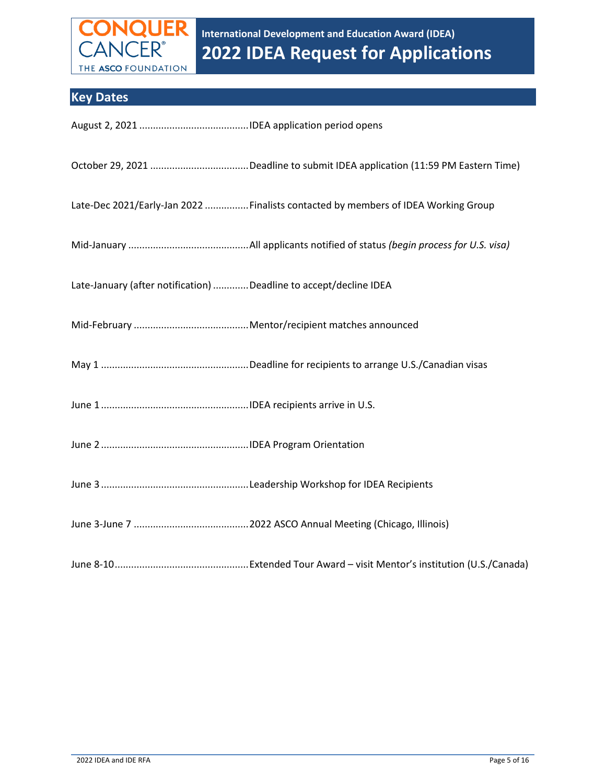

# <span id="page-4-0"></span>**Key Dates**

| Late-Dec 2021/Early-Jan 2022  Finalists contacted by members of IDEA Working Group |
|------------------------------------------------------------------------------------|
|                                                                                    |
| Late-January (after notification) Deadline to accept/decline IDEA                  |
|                                                                                    |
|                                                                                    |
|                                                                                    |
|                                                                                    |
|                                                                                    |
|                                                                                    |
|                                                                                    |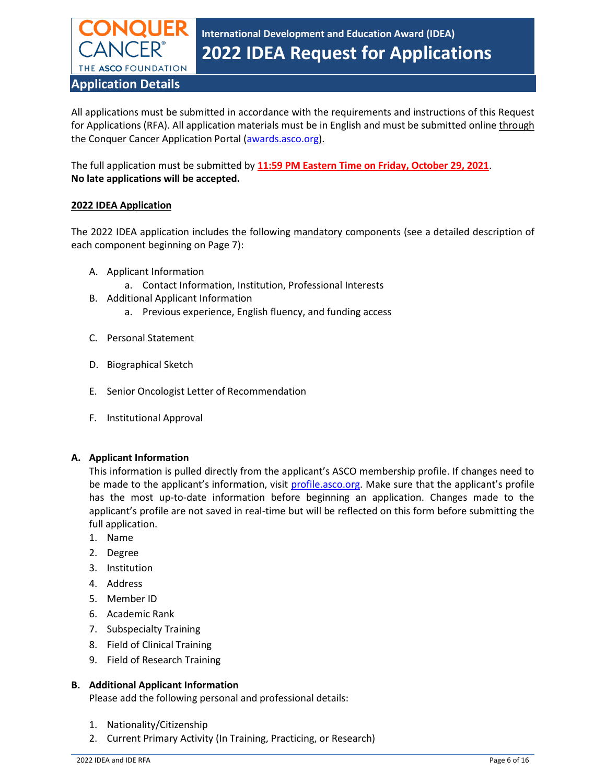

<span id="page-5-0"></span>All applications must be submitted in accordance with the requirements and instructions of this Request for Applications (RFA). All application materials must be in English and must be submitted online through the Conquer Cancer Application Portal [\(awards.asco.org\)](http://awards.asco.org/).

The full application must be submitted by **11:59 PM Eastern Time on Friday, October 29, 2021**. **No late applications will be accepted.** 

#### **2022 IDEA Application**

The 2022 IDEA application includes the following mandatory components (see a detailed description of each component beginning on Page 7):

- A. Applicant Information
	- a. Contact Information, Institution, Professional Interests
- B. Additional Applicant Information
	- a. Previous experience, English fluency, and funding access
- C. Personal Statement
- D. Biographical Sketch
- E. Senior Oncologist Letter of Recommendation
- F. Institutional Approval

#### <span id="page-5-1"></span>**A. Applicant Information**

This information is pulled directly from the applicant's ASCO membership profile. If changes need to be made to the applicant's information, visit <profile.asco.org>. Make sure that the applicant's profile has the most up-to-date information before beginning an application. Changes made to the applicant's profile are not saved in real-time but will be reflected on this form before submitting the full application.

- 1. Name
- 2. Degree
- 3. Institution
- 4. Address
- 5. Member ID
- 6. Academic Rank
- 7. Subspecialty Training
- 8. Field of Clinical Training
- 9. Field of Research Training

#### **B. Additional Applicant Information**

Please add the following personal and professional details:

- 1. Nationality/Citizenship
- 2. Current Primary Activity (In Training, Practicing, or Research)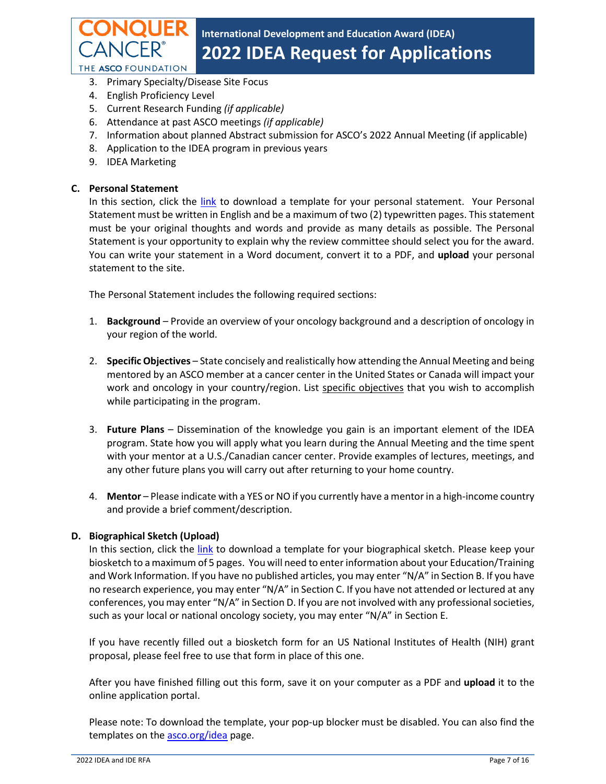

- 3. Primary Specialty/Disease Site Focus
- 4. English Proficiency Level
- 5. Current Research Funding *(if applicable)*
- 6. Attendance at past ASCO meetings *(if applicable)*
- 7. Information about planned Abstract submission for ASCO's 2022 Annual Meeting (if applicable)
- 8. Application to the IDEA program in previous years
- 9. IDEA Marketing

#### <span id="page-6-0"></span>**C. Personal Statement**

In this section, click the [link](https://asco.smapply.io/protected/resource/eyJoZnJlIjogMTA0NTAyNDgwLCAidnEiOiAxNzE2NjF9/) to download a template for your personal statement. Your Personal Statement must be written in English and be a maximum of two (2) typewritten pages. This statement must be your original thoughts and words and provide as many details as possible. The Personal Statement is your opportunity to explain why the review committee should select you for the award. You can write your statement in a Word document, convert it to a PDF, and **upload** your personal statement to the site.

The Personal Statement includes the following required sections:

- 1. **Background** Provide an overview of your oncology background and a description of oncology in your region of the world.
- 2. **Specific Objectives** State concisely and realistically how attending the Annual Meeting and being mentored by an ASCO member at a cancer center in the United States or Canada will impact your work and oncology in your country/region. List specific objectives that you wish to accomplish while participating in the program.
- 3. **Future Plans** Dissemination of the knowledge you gain is an important element of the IDEA program. State how you will apply what you learn during the Annual Meeting and the time spent with your mentor at a U.S./Canadian cancer center. Provide examples of lectures, meetings, and any other future plans you will carry out after returning to your home country.
- 4. **Mentor** Please indicate with a YES or NO if you currently have a mentor in a high-income country and provide a brief comment/description.

#### <span id="page-6-1"></span>**D. Biographical Sketch (Upload)**

In this section, click the [link](https://asco.smapply.io/protected/resource/eyJoZnJlIjogMTA0NTAyNDgwLCAidnEiOiAxMjg2NzR9/) to download a template for your biographical sketch. Please keep your biosketch to a maximum of 5 pages. You will need to enter information about your Education/Training and Work Information. If you have no published articles, you may enter "N/A" in Section B. If you have no research experience, you may enter "N/A" in Section C. If you have not attended or lectured at any conferences, you may enter "N/A" in Section D. If you are not involved with any professional societies, such as your local or national oncology society, you may enter "N/A" in Section E.

If you have recently filled out a biosketch form for an US National Institutes of Health (NIH) grant proposal, please feel free to use that form in place of this one.

After you have finished filling out this form, save it on your computer as a PDF and **upload** it to the online application portal.

Please note: To download the template, your pop-up blocker must be disabled. You can also find the templates on the [asco.org/idea](https://www.asco.org/idea) page.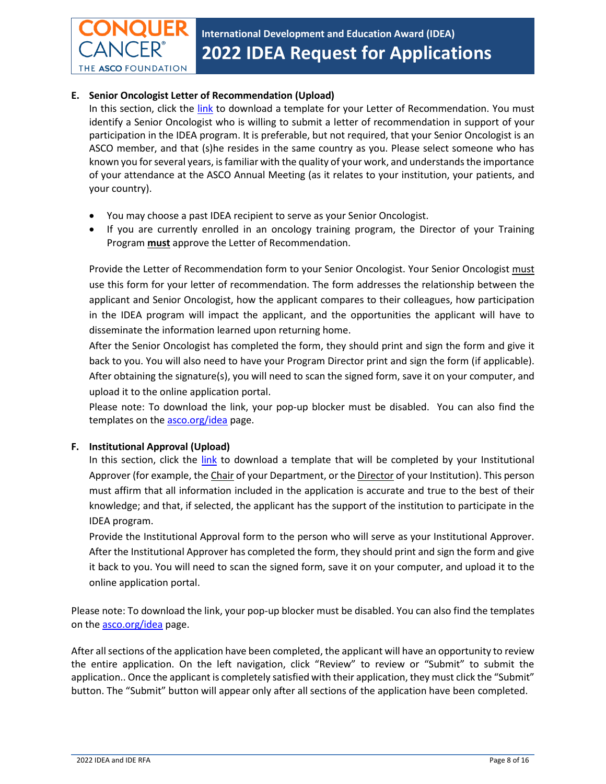#### <span id="page-7-0"></span>**E. Senior Oncologist Letter of Recommendation (Upload)**

THE ASCO FOUNDATION

In this section, click the [link](https://asco.smapply.io/protected/resource/eyJoZnJlIjogMTA0NTAyNDgwLCAidnEiOiAxMjg2Njh9/) to download a template for your Letter of Recommendation. You must identify a Senior Oncologist who is willing to submit a letter of recommendation in support of your participation in the IDEA program. It is preferable, but not required, that your Senior Oncologist is an ASCO member, and that (s)he resides in the same country as you. Please select someone who has known you for several years, is familiar with the quality of your work, and understands the importance of your attendance at the ASCO Annual Meeting (as it relates to your institution, your patients, and your country).

- You may choose a past IDEA recipient to serve as your Senior Oncologist.
- If you are currently enrolled in an oncology training program, the Director of your Training Program **must** approve the Letter of Recommendation.

Provide the Letter of Recommendation form to your Senior Oncologist. Your Senior Oncologist must use this form for your letter of recommendation. The form addresses the relationship between the applicant and Senior Oncologist, how the applicant compares to their colleagues, how participation in the IDEA program will impact the applicant, and the opportunities the applicant will have to disseminate the information learned upon returning home.

After the Senior Oncologist has completed the form, they should print and sign the form and give it back to you. You will also need to have your Program Director print and sign the form (if applicable). After obtaining the signature(s), you will need to scan the signed form, save it on your computer, and upload it to the online application portal.

Please note: To download the link, your pop-up blocker must be disabled. You can also find the templates on the **asco.org/idea** page.

#### <span id="page-7-1"></span>**F. Institutional Approval (Upload)**

In this section, click the [link](https://asco.smapply.io/protected/resource/eyJoZnJlIjogMTA0NTAyNDgwLCAidnEiOiAxMjg2NzF9/) to download a template that will be completed by your Institutional Approver (for example, the Chair of your Department, or the Director of your Institution). This person must affirm that all information included in the application is accurate and true to the best of their knowledge; and that, if selected, the applicant has the support of the institution to participate in the IDEA program.

Provide the Institutional Approval form to the person who will serve as your Institutional Approver. After the Institutional Approver has completed the form, they should print and sign the form and give it back to you. You will need to scan the signed form, save it on your computer, and upload it to the online application portal.

Please note: To download the link, your pop-up blocker must be disabled. You can also find the templates on the **asco.org/idea** page.

After all sections of the application have been completed, the applicant will have an opportunity to review the entire application. On the left navigation, click "Review" to review or "Submit" to submit the application.. Once the applicant is completely satisfied with their application, they must click the "Submit" button. The "Submit" button will appear only after all sections of the application have been completed.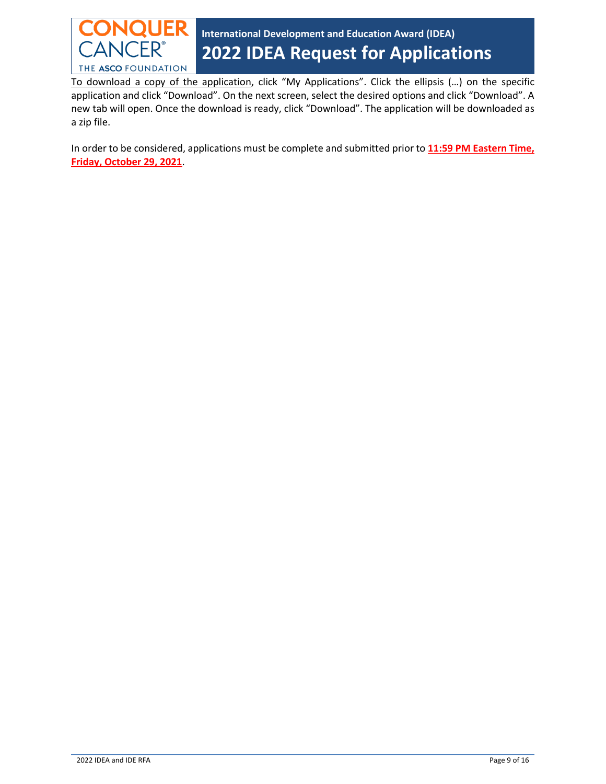

To download a copy of the application, click "My Applications". Click the ellipsis (…) on the specific application and click "Download". On the next screen, select the desired options and click "Download". A new tab will open. Once the download is ready, click "Download". The application will be downloaded as a zip file.

In order to be considered, applications must be complete and submitted prior to **11:59 PM Eastern Time, Friday, October 29, 2021**.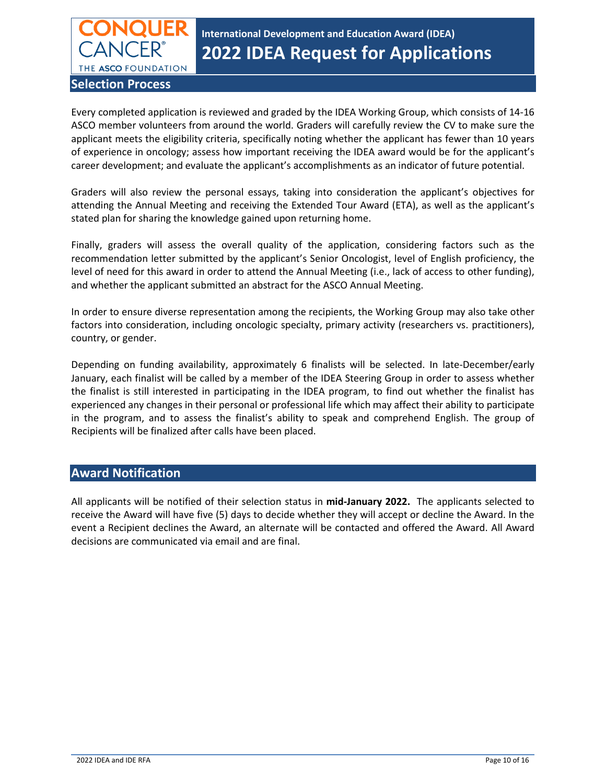

**International Development and Education Award (IDEA) 2022 IDEA Request for Applications**

<span id="page-9-0"></span>Every completed application is reviewed and graded by the IDEA Working Group, which consists of 14-16 ASCO member volunteers from around the world. Graders will carefully review the CV to make sure the applicant meets the eligibility criteria, specifically noting whether the applicant has fewer than 10 years of experience in oncology; assess how important receiving the IDEA award would be for the applicant's career development; and evaluate the applicant's accomplishments as an indicator of future potential.

Graders will also review the personal essays, taking into consideration the applicant's objectives for attending the Annual Meeting and receiving the Extended Tour Award (ETA), as well as the applicant's stated plan for sharing the knowledge gained upon returning home.

Finally, graders will assess the overall quality of the application, considering factors such as the recommendation letter submitted by the applicant's Senior Oncologist, level of English proficiency, the level of need for this award in order to attend the Annual Meeting (i.e., lack of access to other funding), and whether the applicant submitted an abstract for the ASCO Annual Meeting.

In order to ensure diverse representation among the recipients, the Working Group may also take other factors into consideration, including oncologic specialty, primary activity (researchers vs. practitioners), country, or gender.

Depending on funding availability, approximately 6 finalists will be selected. In late-December/early January, each finalist will be called by a member of the IDEA Steering Group in order to assess whether the finalist is still interested in participating in the IDEA program, to find out whether the finalist has experienced any changes in their personal or professional life which may affect their ability to participate in the program, and to assess the finalist's ability to speak and comprehend English. The group of Recipients will be finalized after calls have been placed.

#### <span id="page-9-1"></span>**Award Notification**

All applicants will be notified of their selection status in **mid-January 2022.** The applicants selected to receive the Award will have five (5) days to decide whether they will accept or decline the Award. In the event a Recipient declines the Award, an alternate will be contacted and offered the Award. All Award decisions are communicated via email and are final.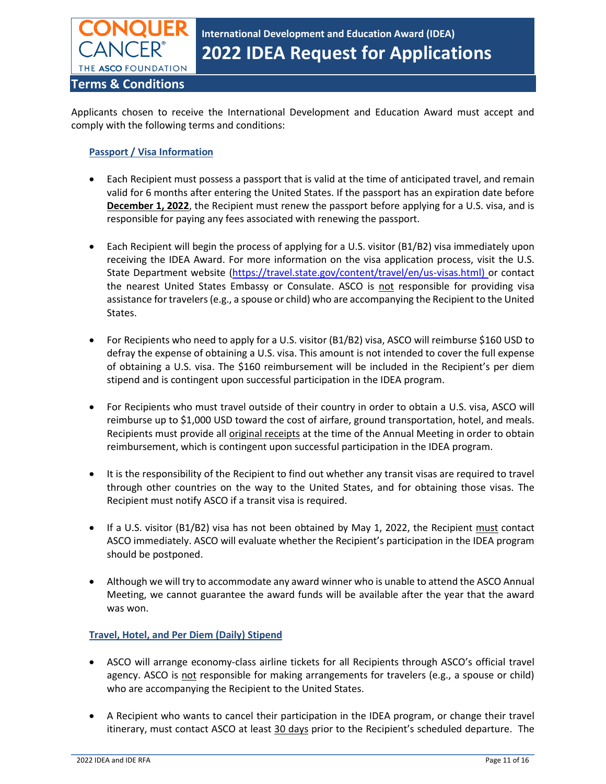

<span id="page-10-0"></span>Applicants chosen to receive the International Development and Education Award must accept and comply with the following terms and conditions:

#### **Passport / Visa Information**

- Each Recipient must possess a passport that is valid at the time of anticipated travel, and remain valid for 6 months after entering the United States. If the passport has an expiration date before **December 1, 2022**, the Recipient must renew the passport before applying for a U.S. visa, and is responsible for paying any fees associated with renewing the passport.
- Each Recipient will begin the process of applying for a U.S. visitor (B1/B2) visa immediately upon receiving the IDEA Award. For more information on the visa application process, visit the U.S. State Department website [\(https://travel.state.gov/content/travel/en/us-visas.html\)](https://travel.state.gov/content/travel/en/us-visas.html) or contact the nearest United States Embassy or Consulate. ASCO is not responsible for providing visa assistance for travelers (e.g., a spouse or child) who are accompanying the Recipient to the United States.
- For Recipients who need to apply for a U.S. visitor (B1/B2) visa, ASCO will reimburse \$160 USD to defray the expense of obtaining a U.S. visa. This amount is not intended to cover the full expense of obtaining a U.S. visa. The \$160 reimbursement will be included in the Recipient's per diem stipend and is contingent upon successful participation in the IDEA program.
- For Recipients who must travel outside of their country in order to obtain a U.S. visa, ASCO will reimburse up to \$1,000 USD toward the cost of airfare, ground transportation, hotel, and meals. Recipients must provide all original receipts at the time of the Annual Meeting in order to obtain reimbursement, which is contingent upon successful participation in the IDEA program.
- It is the responsibility of the Recipient to find out whether any transit visas are required to travel through other countries on the way to the United States, and for obtaining those visas. The Recipient must notify ASCO if a transit visa is required.
- If a U.S. visitor (B1/B2) visa has not been obtained by May 1, 2022, the Recipient must contact ASCO immediately. ASCO will evaluate whether the Recipient's participation in the IDEA program should be postponed.
- Although we will try to accommodate any award winner who is unable to attend the ASCO Annual Meeting, we cannot guarantee the award funds will be available after the year that the award was won.

#### **Travel, Hotel, and Per Diem (Daily) Stipend**

- ASCO will arrange economy-class airline tickets for all Recipients through ASCO's official travel agency. ASCO is not responsible for making arrangements for travelers (e.g., a spouse or child) who are accompanying the Recipient to the United States.
- A Recipient who wants to cancel their participation in the IDEA program, or change their travel itinerary, must contact ASCO at least 30 days prior to the Recipient's scheduled departure. The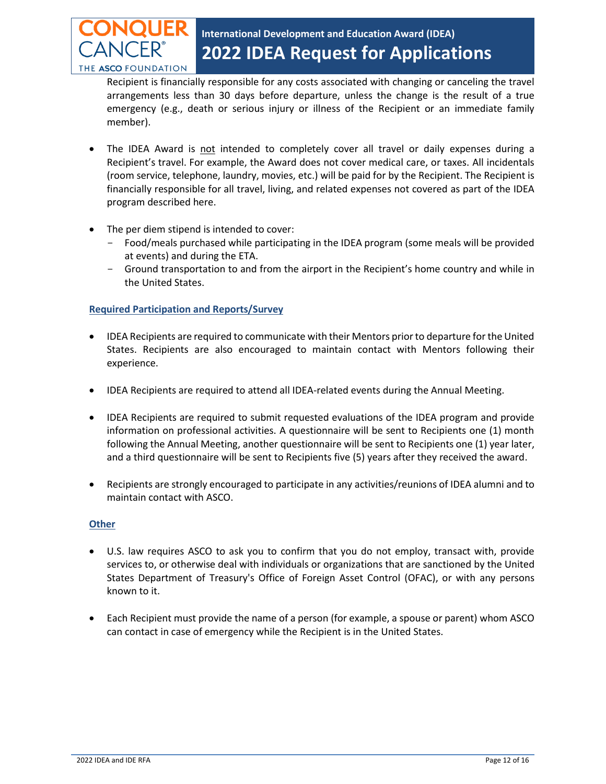

Recipient is financially responsible for any costs associated with changing or canceling the travel arrangements less than 30 days before departure, unless the change is the result of a true emergency (e.g., death or serious injury or illness of the Recipient or an immediate family member).

- The IDEA Award is not intended to completely cover all travel or daily expenses during a Recipient's travel. For example, the Award does not cover medical care, or taxes. All incidentals (room service, telephone, laundry, movies, etc.) will be paid for by the Recipient. The Recipient is financially responsible for all travel, living, and related expenses not covered as part of the IDEA program described here.
- The per diem stipend is intended to cover:
	- Food/meals purchased while participating in the IDEA program (some meals will be provided at events) and during the ETA.
	- Ground transportation to and from the airport in the Recipient's home country and while in the United States.

#### **Required Participation and Reports/Survey**

- IDEA Recipients are required to communicate with their Mentors prior to departure for the United States. Recipients are also encouraged to maintain contact with Mentors following their experience.
- IDEA Recipients are required to attend all IDEA-related events during the Annual Meeting.
- IDEA Recipients are required to submit requested evaluations of the IDEA program and provide information on professional activities. A questionnaire will be sent to Recipients one (1) month following the Annual Meeting, another questionnaire will be sent to Recipients one (1) year later, and a third questionnaire will be sent to Recipients five (5) years after they received the award.
- Recipients are strongly encouraged to participate in any activities/reunions of IDEA alumni and to maintain contact with ASCO.

#### **Other**

- U.S. law requires ASCO to ask you to confirm that you do not employ, transact with, provide services to, or otherwise deal with individuals or organizations that are sanctioned by the United States Department of Treasury's Office of Foreign Asset Control (OFAC), or with any persons known to it.
- Each Recipient must provide the name of a person (for example, a spouse or parent) whom ASCO can contact in case of emergency while the Recipient is in the United States.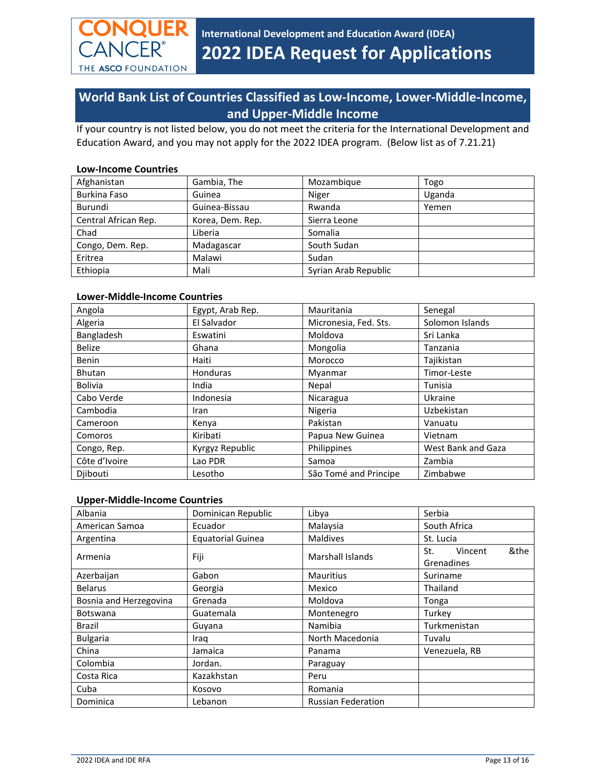

## <span id="page-12-0"></span>**World Bank List of Countries Classified as Low-Income, Lower-Middle-Income, and Upper-Middle Income**

If your country is not listed below, you do not meet the criteria for the International Development and Education Award, and you may not apply for the 2022 IDEA program. (Below list as of 7.21.21)

#### **[Low-Income Countries](http://data.worldbank.org/about/country-classifications/country-and-lending-groups#Low_income)**

| Afghanistan          | Gambia, The      | Mozambique           | Togo   |
|----------------------|------------------|----------------------|--------|
| Burkina Faso         | Guinea           | Niger                | Uganda |
| Burundi              | Guinea-Bissau    | Rwanda               | Yemen  |
| Central African Rep. | Korea, Dem. Rep. | Sierra Leone         |        |
| Chad                 | Liberia          | Somalia              |        |
| Congo, Dem. Rep.     | Madagascar       | South Sudan          |        |
| Eritrea              | Malawi           | Sudan                |        |
| Ethiopia             | Mali             | Syrian Arab Republic |        |

#### **[Lower-Middle-Income Countries](http://data.worldbank.org/about/country-classifications/country-and-lending-groups#Lower_middle_income)**

| Angola         | Egypt, Arab Rep. | Mauritania            | Senegal            |
|----------------|------------------|-----------------------|--------------------|
| Algeria        | El Salvador      | Micronesia, Fed. Sts. | Solomon Islands    |
| Bangladesh     | Eswatini         | Moldova               | Sri Lanka          |
| <b>Belize</b>  | Ghana            | Mongolia              | Tanzania           |
| <b>Benin</b>   | Haiti            | Morocco               | Tajikistan         |
| <b>Bhutan</b>  | Honduras         | Myanmar               | Timor-Leste        |
| <b>Bolivia</b> | India            | Nepal                 | Tunisia            |
| Cabo Verde     | Indonesia        | Nicaragua             | Ukraine            |
| Cambodia       | Iran             | Nigeria               | Uzbekistan         |
| Cameroon       | Kenya            | Pakistan              | Vanuatu            |
| Comoros        | Kiribati         | Papua New Guinea      | Vietnam            |
| Congo, Rep.    | Kyrgyz Republic  | Philippines           | West Bank and Gaza |
| Côte d'Ivoire  | Lao PDR          | Samoa                 | Zambia             |
| Djibouti       | Lesotho          | São Tomé and Principe | Zimbabwe           |

#### **[Upper-Middle-Income Countries](http://data.worldbank.org/about/country-classifications/country-and-lending-groups#Upper_middle_income)**

| Albania                | Dominican Republic       | Libya                     | Serbia                               |
|------------------------|--------------------------|---------------------------|--------------------------------------|
| American Samoa         | Ecuador                  | Malaysia                  | South Africa                         |
| Argentina              | <b>Equatorial Guinea</b> | <b>Maldives</b>           | St. Lucia                            |
| Armenia                | Fiji                     | Marshall Islands          | &the<br>Vincent<br>St.<br>Grenadines |
| Azerbaijan             | Gabon                    | <b>Mauritius</b>          | Suriname                             |
| <b>Belarus</b>         | Georgia                  | Mexico                    | Thailand                             |
| Bosnia and Herzegovina | Grenada                  | Moldova                   | Tonga                                |
| <b>Botswana</b>        | Guatemala                | Montenegro                | Turkey                               |
| Brazil                 | Guyana                   | Namibia                   | Turkmenistan                         |
| <b>Bulgaria</b>        | Iraq                     | North Macedonia           | Tuvalu                               |
| China                  | Jamaica                  | Panama                    | Venezuela, RB                        |
| Colombia               | Jordan.                  | Paraguay                  |                                      |
| Costa Rica             | Kazakhstan               | Peru                      |                                      |
| Cuba                   | Kosovo                   | Romania                   |                                      |
| Dominica               | Lebanon                  | <b>Russian Federation</b> |                                      |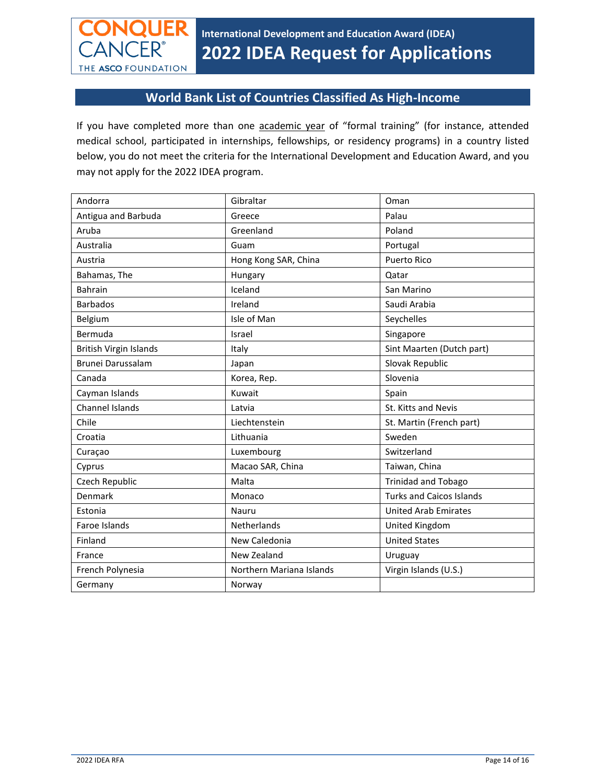

### **World Bank List of Countries Classified As High-Income**

<span id="page-13-0"></span>If you have completed more than one academic year of "formal training" (for instance, attended medical school, participated in internships, fellowships, or residency programs) in a country listed below, you do not meet the criteria for the International Development and Education Award, and you may not apply for the 2022 IDEA program.

| Andorra                       | Gibraltar                | Oman                            |
|-------------------------------|--------------------------|---------------------------------|
| Antigua and Barbuda           | Greece                   | Palau                           |
| Aruba                         | Greenland                | Poland                          |
| Australia                     | Guam                     | Portugal                        |
| Austria                       | Hong Kong SAR, China     | <b>Puerto Rico</b>              |
| Bahamas, The                  | Hungary                  | Qatar                           |
| <b>Bahrain</b>                | Iceland                  | San Marino                      |
| <b>Barbados</b>               | Ireland                  | Saudi Arabia                    |
| Belgium                       | Isle of Man              | Seychelles                      |
| Bermuda                       | Israel                   | Singapore                       |
| <b>British Virgin Islands</b> | Italy                    | Sint Maarten (Dutch part)       |
| Brunei Darussalam             | Japan                    | Slovak Republic                 |
| Canada                        | Korea, Rep.              | Slovenia                        |
| Cayman Islands                | Kuwait                   | Spain                           |
| <b>Channel Islands</b>        | Latvia                   | St. Kitts and Nevis             |
| Chile                         | Liechtenstein            | St. Martin (French part)        |
| Croatia                       | Lithuania                | Sweden                          |
| Curaçao                       | Luxembourg               | Switzerland                     |
| Cyprus                        | Macao SAR, China         | Taiwan, China                   |
| Czech Republic                | Malta                    | <b>Trinidad and Tobago</b>      |
| Denmark                       | Monaco                   | <b>Turks and Caicos Islands</b> |
| Estonia                       | Nauru                    | <b>United Arab Emirates</b>     |
| Faroe Islands                 | Netherlands              | United Kingdom                  |
| Finland                       | New Caledonia            | <b>United States</b>            |
| France                        | New Zealand              | Uruguay                         |
| French Polynesia              | Northern Mariana Islands | Virgin Islands (U.S.)           |
| Germany                       | Norway                   |                                 |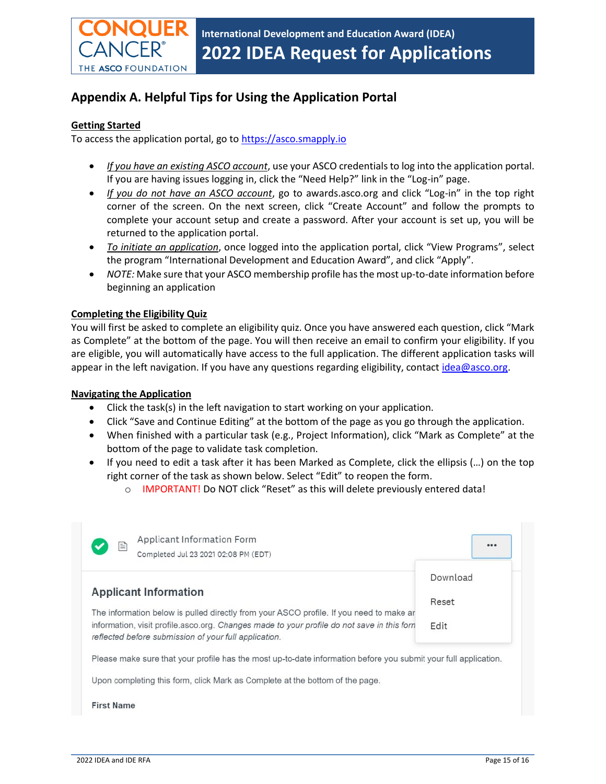

# **Appendix A. Helpful Tips for Using the Application Portal**

#### **Getting Started**

To access the application portal, go to [https://asco.smapply.io](https://asco.smapply.io/)

- *If you have an existing ASCO account*, use your ASCO credentials to log into the application portal. If you are having issues logging in, click the "Need Help?" link in the "Log-in" page.
- *If you do not have an ASCO account*, go to awards.asco.org and click "Log-in" in the top right corner of the screen. On the next screen, click "Create Account" and follow the prompts to complete your account setup and create a password. After your account is set up, you will be returned to the application portal.
- *To initiate an application*, once logged into the application portal, click "View Programs", select the program "International Development and Education Award", and click "Apply".
- *NOTE:* Make sure that your ASCO membership profile has the most up-to-date information before beginning an application

#### **Completing the Eligibility Quiz**

You will first be asked to complete an eligibility quiz. Once you have answered each question, click "Mark as Complete" at the bottom of the page. You will then receive an email to confirm your eligibility. If you are eligible, you will automatically have access to the full application. The different application tasks will appear in the left navigation. If you have any questions regarding eligibility, contac[t idea@asco.org.](mailto:idea@asco.org)

#### **Navigating the Application**

- Click the task(s) in the left navigation to start working on your application.
- Click "Save and Continue Editing" at the bottom of the page as you go through the application.
- When finished with a particular task (e.g., Project Information), click "Mark as Complete" at the bottom of the page to validate task completion.
- If you need to edit a task after it has been Marked as Complete, click the ellipsis (…) on the top right corner of the task as shown below. Select "Edit" to reopen the form.
	- o IMPORTANT! Do NOT click "Reset" as this will delete previously entered data!

| Completed Jul 23 2021 02:08 PM (EDT)                                                                                                                                                                                                           | Download |
|------------------------------------------------------------------------------------------------------------------------------------------------------------------------------------------------------------------------------------------------|----------|
| <b>Applicant Information</b>                                                                                                                                                                                                                   | Reset    |
| The information below is pulled directly from your ASCO profile. If you need to make ar<br>information, visit profile asco.org. Changes made to your profile do not save in this forn<br>reflected before submission of your full application. | Edit     |
| Please make sure that your profile has the most up-to-date information before you submit your full application.                                                                                                                                |          |

**First Name**